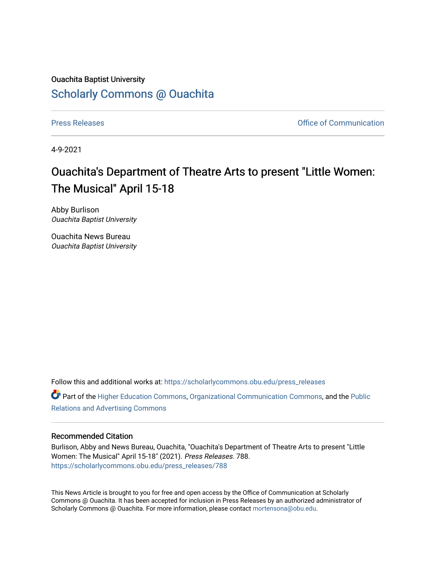# Ouachita Baptist University [Scholarly Commons @ Ouachita](https://scholarlycommons.obu.edu/)

[Press Releases](https://scholarlycommons.obu.edu/press_releases) **Press Releases Communication** 

4-9-2021

# Ouachita's Department of Theatre Arts to present "Little Women: The Musical" April 15-18

Abby Burlison Ouachita Baptist University

Ouachita News Bureau Ouachita Baptist University

Follow this and additional works at: [https://scholarlycommons.obu.edu/press\\_releases](https://scholarlycommons.obu.edu/press_releases?utm_source=scholarlycommons.obu.edu%2Fpress_releases%2F788&utm_medium=PDF&utm_campaign=PDFCoverPages)

Part of the [Higher Education Commons,](http://network.bepress.com/hgg/discipline/1245?utm_source=scholarlycommons.obu.edu%2Fpress_releases%2F788&utm_medium=PDF&utm_campaign=PDFCoverPages) [Organizational Communication Commons,](http://network.bepress.com/hgg/discipline/335?utm_source=scholarlycommons.obu.edu%2Fpress_releases%2F788&utm_medium=PDF&utm_campaign=PDFCoverPages) and the [Public](http://network.bepress.com/hgg/discipline/336?utm_source=scholarlycommons.obu.edu%2Fpress_releases%2F788&utm_medium=PDF&utm_campaign=PDFCoverPages) [Relations and Advertising Commons](http://network.bepress.com/hgg/discipline/336?utm_source=scholarlycommons.obu.edu%2Fpress_releases%2F788&utm_medium=PDF&utm_campaign=PDFCoverPages) 

# Recommended Citation

Burlison, Abby and News Bureau, Ouachita, "Ouachita's Department of Theatre Arts to present "Little Women: The Musical" April 15-18" (2021). Press Releases. 788. [https://scholarlycommons.obu.edu/press\\_releases/788](https://scholarlycommons.obu.edu/press_releases/788?utm_source=scholarlycommons.obu.edu%2Fpress_releases%2F788&utm_medium=PDF&utm_campaign=PDFCoverPages)

This News Article is brought to you for free and open access by the Office of Communication at Scholarly Commons @ Ouachita. It has been accepted for inclusion in Press Releases by an authorized administrator of Scholarly Commons @ Ouachita. For more information, please contact [mortensona@obu.edu](mailto:mortensona@obu.edu).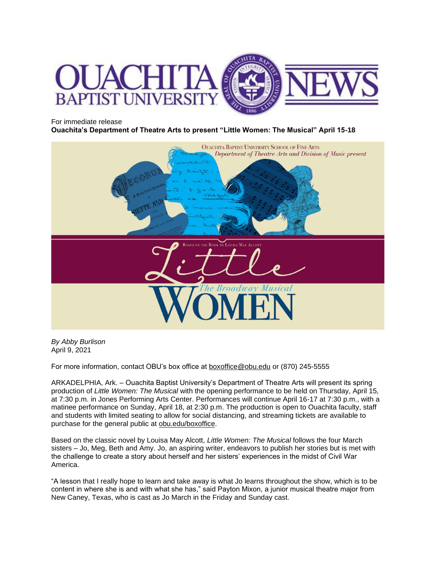

#### For immediate release

**Ouachita's Department of Theatre Arts to present "Little Women: The Musical" April 15-18**



*By Abby Burlison* April 9, 2021

For more information, contact OBU's box office at [boxoffice@obu.edu](mailto:boxoffice@obu.edu) or (870) 245-5555

ARKADELPHIA, Ark. – Ouachita Baptist University's Department of Theatre Arts will present its spring production of *Little Women: The Musical* with the opening performance to be held on Thursday, April 15, at 7:30 p.m. in Jones Performing Arts Center. Performances will continue April 16-17 at 7:30 p.m., with a matinee performance on Sunday, April 18, at 2:30 p.m. The production is open to Ouachita faculty, staff and students with limited seating to allow for social distancing, and streaming tickets are available to purchase for the general public at [obu.edu/boxoffice.](http://www.obu.edu/boxoffice)

Based on the classic novel by Louisa May Alcott, *Little Women: The Musical* follows the four March sisters – Jo, Meg, Beth and Amy. Jo, an aspiring writer, endeavors to publish her stories but is met with the challenge to create a story about herself and her sisters' experiences in the midst of Civil War America.

"A lesson that I really hope to learn and take away is what Jo learns throughout the show, which is to be content in where she is and with what she has," said Payton Mixon, a junior musical theatre major from New Caney, Texas, who is cast as Jo March in the Friday and Sunday cast.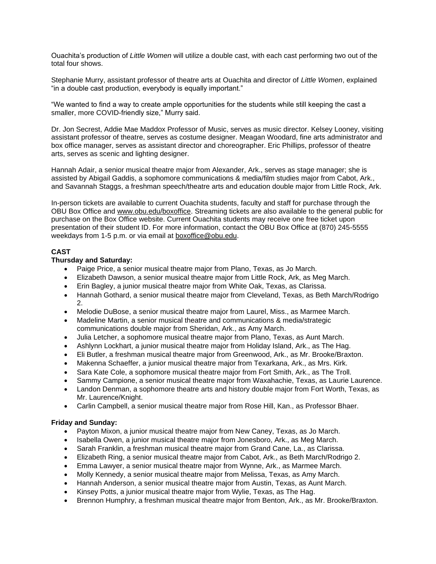Ouachita's production of *Little Women* will utilize a double cast, with each cast performing two out of the total four shows.

Stephanie Murry, assistant professor of theatre arts at Ouachita and director of *Little Women*, explained "in a double cast production, everybody is equally important."

"We wanted to find a way to create ample opportunities for the students while still keeping the cast a smaller, more COVID-friendly size," Murry said.

Dr. Jon Secrest, Addie Mae Maddox Professor of Music, serves as music director. Kelsey Looney, visiting assistant professor of theatre, serves as costume designer. Meagan Woodard, fine arts administrator and box office manager, serves as assistant director and choreographer. Eric Phillips, professor of theatre arts, serves as scenic and lighting designer.

Hannah Adair, a senior musical theatre major from Alexander, Ark., serves as stage manager; she is assisted by Abigail Gaddis, a sophomore communications & media/film studies major from Cabot, Ark., and Savannah Staggs, a freshman speech/theatre arts and education double major from Little Rock, Ark.

In-person tickets are available to current Ouachita students, faculty and staff for purchase through the OBU Box Office and [www.obu.edu/boxoffice.](http://www.obu.edu/boxoffice) Streaming tickets are also available to the general public for purchase on the Box Office website. Current Ouachita students may receive one free ticket upon presentation of their student ID. For more information, contact the OBU Box Office at (870) 245-5555 weekdays from 1-5 p.m. or via email at [boxoffice@obu.edu.](mailto:boxoffice@obu.edu)

#### **CAST**

#### **Thursday and Saturday:**

- Paige Price, a senior musical theatre major from Plano, Texas, as Jo March.
- Elizabeth Dawson, a senior musical theatre major from Little Rock, Ark, as Meg March.
- Erin Bagley, a junior musical theatre major from White Oak, Texas, as Clarissa.
- Hannah Gothard, a senior musical theatre major from Cleveland, Texas, as Beth March/Rodrigo 2.
- Melodie DuBose, a senior musical theatre major from Laurel, Miss., as Marmee March.
- Madeline Martin, a senior musical theatre and communications & media/strategic communications double major from Sheridan, Ark., as Amy March.
- Julia Letcher, a sophomore musical theatre major from Plano, Texas, as Aunt March.
- Ashlynn Lockhart, a junior musical theatre major from Holiday Island, Ark., as The Hag.
- Eli Butler, a freshman musical theatre major from Greenwood, Ark., as Mr. Brooke/Braxton.
- Makenna Schaeffer, a junior musical theatre major from Texarkana, Ark., as Mrs. Kirk.
- Sara Kate Cole, a sophomore musical theatre major from Fort Smith, Ark., as The Troll.
- Sammy Campione, a senior musical theatre major from Waxahachie, Texas, as Laurie Laurence.
- Landon Denman, a sophomore theatre arts and history double major from Fort Worth, Texas, as Mr. Laurence/Knight.
- Carlin Campbell, a senior musical theatre major from Rose Hill, Kan., as Professor Bhaer.

#### **Friday and Sunday:**

- Payton Mixon, a junior musical theatre major from New Caney, Texas, as Jo March.
- Isabella Owen, a junior musical theatre major from Jonesboro, Ark., as Meg March.
- Sarah Franklin, a freshman musical theatre major from Grand Cane, La., as Clarissa.
- Elizabeth Ring, a senior musical theatre major from Cabot, Ark., as Beth March/Rodrigo 2.
- Emma Lawyer, a senior musical theatre major from Wynne, Ark., as Marmee March.
- Molly Kennedy, a senior musical theatre major from Melissa, Texas, as Amy March.
- Hannah Anderson, a senior musical theatre major from Austin, Texas, as Aunt March.
- Kinsey Potts, a junior musical theatre major from Wylie, Texas, as The Hag.
- Brennon Humphry, a freshman musical theatre major from Benton, Ark., as Mr. Brooke/Braxton.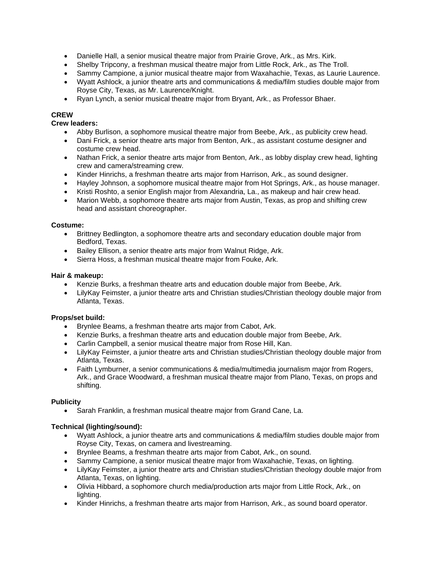- Danielle Hall, a senior musical theatre major from Prairie Grove, Ark., as Mrs. Kirk.
- Shelby Tripcony, a freshman musical theatre major from Little Rock, Ark., as The Troll.
- Sammy Campione, a junior musical theatre major from Waxahachie, Texas, as Laurie Laurence.
- Wyatt Ashlock, a junior theatre arts and communications & media/film studies double major from Royse City, Texas, as Mr. Laurence/Knight.
- Ryan Lynch, a senior musical theatre major from Bryant, Ark., as Professor Bhaer.

# **CREW**

#### **Crew leaders:**

- Abby Burlison, a sophomore musical theatre major from Beebe, Ark., as publicity crew head.
- Dani Frick, a senior theatre arts major from Benton, Ark., as assistant costume designer and costume crew head.
- Nathan Frick, a senior theatre arts major from Benton, Ark., as lobby display crew head, lighting crew and camera/streaming crew.
- Kinder Hinrichs, a freshman theatre arts major from Harrison, Ark., as sound designer.
- Hayley Johnson, a sophomore musical theatre major from Hot Springs, Ark., as house manager.
- Kristi Roshto, a senior English major from Alexandria, La., as makeup and hair crew head.
- Marion Webb, a sophomore theatre arts major from Austin, Texas, as prop and shifting crew head and assistant choreographer.

#### **Costume:**

- Brittney Bedlington, a sophomore theatre arts and secondary education double major from Bedford, Texas.
- Bailey Ellison, a senior theatre arts major from Walnut Ridge, Ark.
- Sierra Hoss, a freshman musical theatre major from Fouke, Ark.

#### **Hair & makeup:**

- Kenzie Burks, a freshman theatre arts and education double major from Beebe, Ark.
- LilyKay Feimster, a junior theatre arts and Christian studies/Christian theology double major from Atlanta, Texas.

#### **Props/set build:**

- Brynlee Beams, a freshman theatre arts major from Cabot, Ark.
- Kenzie Burks, a freshman theatre arts and education double major from Beebe, Ark.
- Carlin Campbell, a senior musical theatre major from Rose Hill, Kan.
- LilyKay Feimster, a junior theatre arts and Christian studies/Christian theology double major from Atlanta, Texas.
- Faith Lymburner, a senior communications & media/multimedia journalism major from Rogers, Ark., and Grace Woodward, a freshman musical theatre major from Plano, Texas, on props and shifting.

# **Publicity**

• Sarah Franklin, a freshman musical theatre major from Grand Cane, La.

# **Technical (lighting/sound):**

- Wyatt Ashlock, a junior theatre arts and communications & media/film studies double major from Royse City, Texas, on camera and livestreaming.
- Brynlee Beams, a freshman theatre arts major from Cabot, Ark., on sound.
- Sammy Campione, a senior musical theatre major from Waxahachie, Texas, on lighting.
- LilyKay Feimster, a junior theatre arts and Christian studies/Christian theology double major from Atlanta, Texas, on lighting.
- Olivia Hibbard, a sophomore church media/production arts major from Little Rock, Ark., on lighting.
- Kinder Hinrichs, a freshman theatre arts major from Harrison, Ark., as sound board operator.